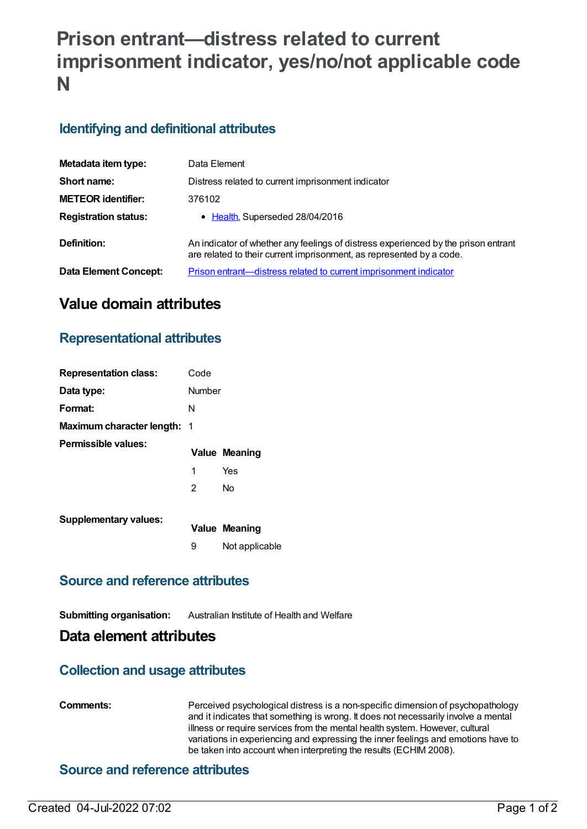# **Prison entrant—distress related to current imprisonment indicator, yes/no/not applicable code N**

### **Identifying and definitional attributes**

| Metadata item type:         | Data Element                                                                                                                                               |
|-----------------------------|------------------------------------------------------------------------------------------------------------------------------------------------------------|
| Short name:                 | Distress related to current imprisonment indicator                                                                                                         |
| <b>METEOR identifier:</b>   | 376102                                                                                                                                                     |
| <b>Registration status:</b> | • Health, Superseded 28/04/2016                                                                                                                            |
| Definition:                 | An indicator of whether any feelings of distress experienced by the prison entrant<br>are related to their current imprisonment, as represented by a code. |
| Data Element Concept:       | Prison entrant—distress related to current imprisonment indicator                                                                                          |

## **Value domain attributes**

#### **Representational attributes**

| <b>Representation class:</b>       | Code   |                      |
|------------------------------------|--------|----------------------|
| Data type:                         | Number |                      |
| Format:                            | N      |                      |
| <b>Maximum character length: 1</b> |        |                      |
| Permissible values:                |        | <b>Value Meaning</b> |
|                                    | 1      | Yes                  |
|                                    | 2      | No                   |
| <b>Supplementary values:</b>       |        | Value Meaning        |
|                                    | 9      | Not applicable       |

#### **Source and reference attributes**

**Submitting organisation:** Australian Institute of Health and Welfare

#### **Data element attributes**

#### **Collection and usage attributes**

**Comments:** Perceived psychological distress is a non-specific dimension of psychopathology and it indicates that something is wrong. It does not necessarily involve a mental illness or require services from the mental health system. However, cultural variations in experiencing and expressing the inner feelings and emotions have to be taken into account when interpreting the results (ECHIM 2008).

#### **Source and reference attributes**